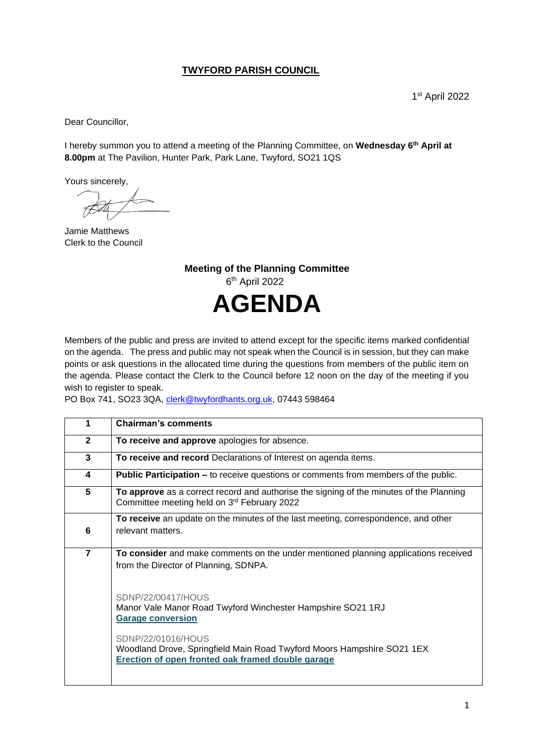## **TWYFORD PARISH COUNCIL**

Dear Councillor,

I hereby summon you to attend a meeting of the Planning Committee, on **Wednesday 6th April at 8.00pm** at The Pavilion, Hunter Park, Park Lane, Twyford, SO21 1QS

Yours sincerely,

Jamie Matthews Clerk to the Council

**Meeting of the Planning Committee** 6 th April 2022 **AGENDA**

Members of the public and press are invited to attend except for the specific items marked confidential on the agenda. The press and public may not speak when the Council is in session, but they can make points or ask questions in the allocated time during the questions from members of the public item on the agenda. Please contact the Clerk to the Council before 12 noon on the day of the meeting if you wish to register to speak.

PO Box 741, SO23 3QA, [clerk@twyfordhants.org.uk,](mailto:clerk@twyfordhants.org.uk) 07443 598464

|                | <b>Chairman's comments</b>                                                                                                                        |
|----------------|---------------------------------------------------------------------------------------------------------------------------------------------------|
| $\mathbf{2}$   | To receive and approve apologies for absence.                                                                                                     |
| 3              | To receive and record Declarations of Interest on agenda items.                                                                                   |
| 4              | <b>Public Participation –</b> to receive questions or comments from members of the public.                                                        |
| 5              | To approve as a correct record and authorise the signing of the minutes of the Planning<br>Committee meeting held on 3rd February 2022            |
| 6              | To receive an update on the minutes of the last meeting, correspondence, and other<br>relevant matters.                                           |
| $\overline{7}$ | To consider and make comments on the under mentioned planning applications received<br>from the Director of Planning, SDNPA.                      |
|                | SDNP/22/00417/HOUS<br>Manor Vale Manor Road Twyford Winchester Hampshire SO21 1RJ<br><b>Garage conversion</b>                                     |
|                | SDNP/22/01016/HOUS<br>Woodland Drove, Springfield Main Road Twyford Moors Hampshire SO21 1EX<br>Erection of open fronted oak framed double garage |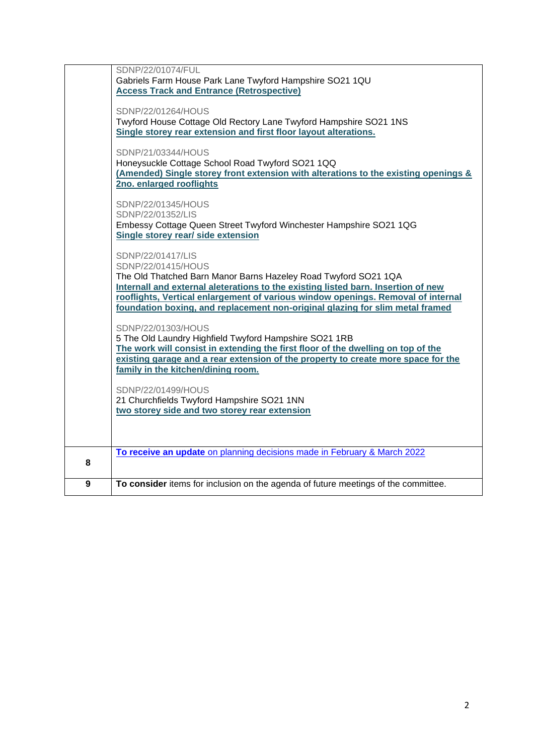|   | SDNP/22/01074/FUL                                                                   |
|---|-------------------------------------------------------------------------------------|
|   |                                                                                     |
|   | Gabriels Farm House Park Lane Twyford Hampshire SO21 1QU                            |
|   | <b>Access Track and Entrance (Retrospective)</b>                                    |
|   |                                                                                     |
|   | SDNP/22/01264/HOUS                                                                  |
|   | Twyford House Cottage Old Rectory Lane Twyford Hampshire SO21 1NS                   |
|   |                                                                                     |
|   | Single storey rear extension and first floor layout alterations.                    |
|   |                                                                                     |
|   | SDNP/21/03344/HOUS                                                                  |
|   | Honeysuckle Cottage School Road Twyford SO21 1QQ                                    |
|   | (Amended) Single storey front extension with alterations to the existing openings & |
|   | 2no. enlarged rooflights                                                            |
|   |                                                                                     |
|   |                                                                                     |
|   | SDNP/22/01345/HOUS                                                                  |
|   | SDNP/22/01352/LIS                                                                   |
|   | Embessy Cottage Queen Street Twyford Winchester Hampshire SO21 1QG                  |
|   | Single storey rear/ side extension                                                  |
|   |                                                                                     |
|   |                                                                                     |
|   | SDNP/22/01417/LIS                                                                   |
|   | SDNP/22/01415/HOUS                                                                  |
|   | The Old Thatched Barn Manor Barns Hazeley Road Twyford SO21 1QA                     |
|   | Internall and external aleterations to the existing listed barn. Insertion of new   |
|   | rooflights, Vertical enlargement of various window openings. Removal of internal    |
|   | foundation boxing, and replacement non-original glazing for slim metal framed       |
|   |                                                                                     |
|   |                                                                                     |
|   | SDNP/22/01303/HOUS                                                                  |
|   | 5 The Old Laundry Highfield Twyford Hampshire SO21 1RB                              |
|   | The work will consist in extending the first floor of the dwelling on top of the    |
|   | existing garage and a rear extension of the property to create more space for the   |
|   | family in the kitchen/dining room.                                                  |
|   |                                                                                     |
|   |                                                                                     |
|   | SDNP/22/01499/HOUS                                                                  |
|   | 21 Churchfields Twyford Hampshire SO21 1NN                                          |
|   | two storey side and two storey rear extension                                       |
|   |                                                                                     |
|   |                                                                                     |
|   |                                                                                     |
|   |                                                                                     |
|   | To receive an update on planning decisions made in February & March 2022            |
| 8 |                                                                                     |
|   |                                                                                     |
| 9 | To consider items for inclusion on the agenda of future meetings of the committee.  |
|   |                                                                                     |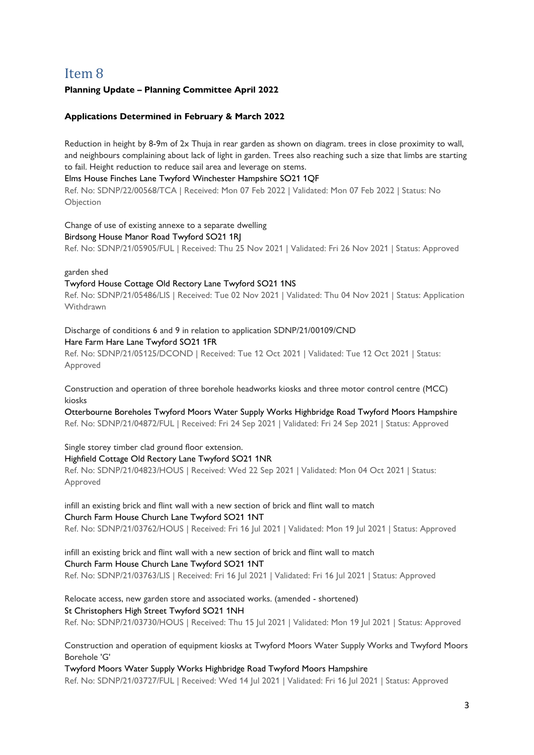# <span id="page-2-0"></span>Item 8

## **Planning Update – Planning Committee April 2022**

## **Applications Determined in February & March 2022**

Reduction in height by 8-9m of 2x Thuja in rear garden as shown on diagram. trees in close proximity to wall, and neighbours complaining about lack of light in garden. Trees also reaching such a size that limbs are starting to fail. Height reduction to reduce sail area and leverage on stems.

#### Elms House Finches Lane Twyford Winchester Hampshire SO21 1QF

Ref. No: SDNP/22/00568/TCA | Received: Mon 07 Feb 2022 | Validated: Mon 07 Feb 2022 | Status: No Objection

Change of use of existing annexe to a separate dwelling

#### Birdsong House Manor Road Twyford SO21 1RJ

Ref. No: SDNP/21/05905/FUL | Received: Thu 25 Nov 2021 | Validated: Fri 26 Nov 2021 | Status: Approved

garden shed

## Twyford House Cottage Old Rectory Lane Twyford SO21 1NS

Ref. No: SDNP/21/05486/LIS | Received: Tue 02 Nov 2021 | Validated: Thu 04 Nov 2021 | Status: Application Withdrawn

Discharge of conditions 6 and 9 in relation to application SDNP/21/00109/CND Hare Farm Hare Lane Twyford SO21 1FR

Ref. No: SDNP/21/05125/DCOND | Received: Tue 12 Oct 2021 | Validated: Tue 12 Oct 2021 | Status: Approved

Construction and operation of three borehole headworks kiosks and three motor control centre (MCC) kinsks

Otterbourne Boreholes Twyford Moors Water Supply Works Highbridge Road Twyford Moors Hampshire Ref. No: SDNP/21/04872/FUL | Received: Fri 24 Sep 2021 | Validated: Fri 24 Sep 2021 | Status: Approved

Single storey timber clad ground floor extension.

## Highfield Cottage Old Rectory Lane Twyford SO21 1NR

Ref. No: SDNP/21/04823/HOUS | Received: Wed 22 Sep 2021 | Validated: Mon 04 Oct 2021 | Status: Approved

#### infill an existing brick and flint wall with a new section of brick and flint wall to match Church Farm House Church Lane Twyford SO21 1NT

Ref. No: SDNP/21/03762/HOUS | Received: Fri 16 Jul 2021 | Validated: Mon 19 Jul 2021 | Status: Approved

## infill an existing brick and flint wall with a new section of brick and flint wall to match Church Farm House Church Lane Twyford SO21 1NT

Ref. No: SDNP/21/03763/LIS | Received: Fri 16 Jul 2021 | Validated: Fri 16 Jul 2021 | Status: Approved

Relocate access, new garden store and associated works. (amended - shortened) St Christophers High Street Twyford SO21 1NH Ref. No: SDNP/21/03730/HOUS | Received: Thu 15 Jul 2021 | Validated: Mon 19 Jul 2021 | Status: Approved

Construction and operation of equipment kiosks at Twyford Moors Water Supply Works and Twyford Moors Borehole 'G'

## Twyford Moors Water Supply Works Highbridge Road Twyford Moors Hampshire

Ref. No: SDNP/21/03727/FUL | Received: Wed 14 Jul 2021 | Validated: Fri 16 Jul 2021 | Status: Approved